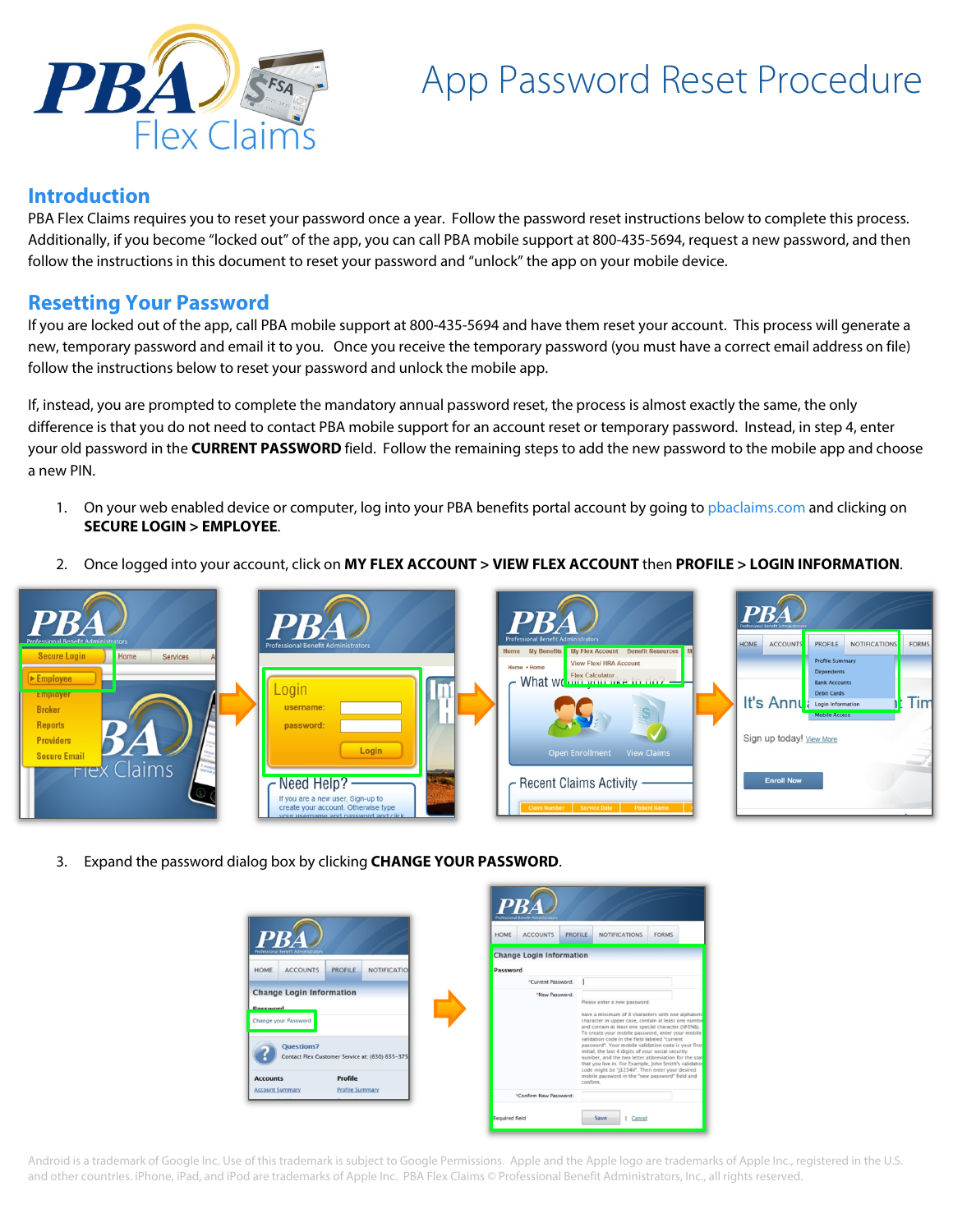

## App Password Reset Procedure

## **Introduction**

PBA Flex Claims requires you to reset your password once a year. Follow the password reset instructions below to complete this process. Additionally, if you become "locked out" of the app, you can call PBA mobile support at 800-435-5694, request a new password, and then follow the instructions in this document to reset your password and "unlock" the app on your mobile device.

## **Resetting Your Password**

If you are locked out of the app, call PBA mobile support at 800-435-5694 and have them reset your account. This process will generate a new, temporary password and email it to you. Once you receive the temporary password (you must have a correct email address on file) follow the instructions below to reset your password and unlock the mobile app.

If, instead, you are prompted to complete the mandatory annual password reset, the process is almost exactly the same, the only difference is that you do not need to contact PBA mobile support for an account reset or temporary password. Instead, in step 4, enter your old password in the **CURRENT PASSWORD** field. Follow the remaining steps to add the new password to the mobile app and choose a new PIN.

1. On your web enabled device or computer, log into your PBA benefits portal account by going to [pbaclaims.com](http://www.pbaclaims.com/) and clicking on **SECURE LOGIN > EMPLOYEE**.



2. Once logged into your account, click on **MY FLEX ACCOUNT > VIEW FLEX ACCOUNT** then **PROFILE > LOGIN INFORMATION**.

3. Expand the password dialog box by clicking **CHANGE YOUR PASSWORD**.



Android is a trademark of Google Inc. Use of this trademark is subject to Google Permissions. Apple and the Apple logo are trademarks of Apple Inc., registered in the U.S. and other countries. iPhone, iPad, and iPod are trademarks of Apple Inc. PBA Flex Claims © Professional Benefit Administrators, Inc., all rights reserved.